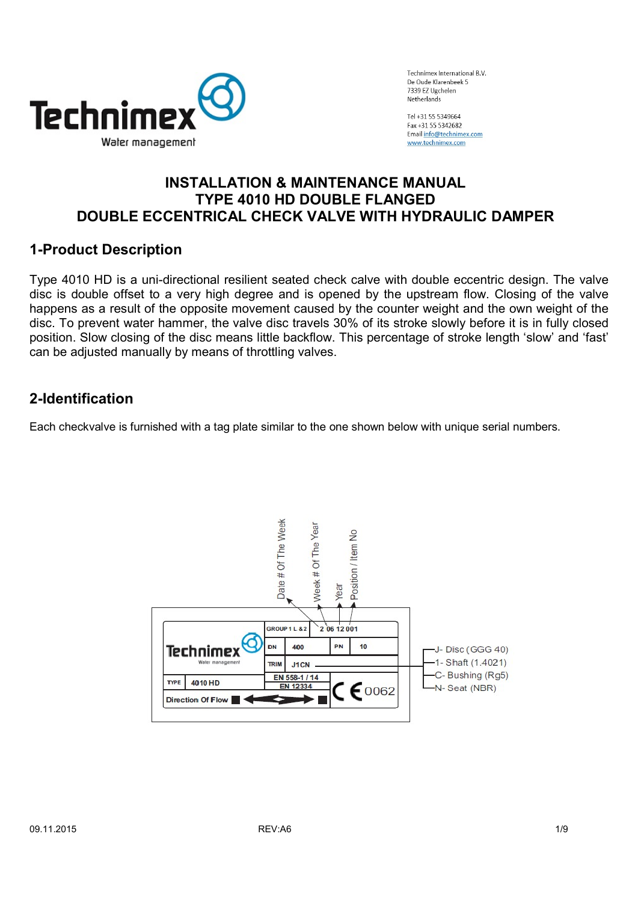

Tol +31 55 53/0664 Eax +31 55 5342682 Email info@technimex.com www.technimex.com

## INSTALLATION & MAINTENANCE MANUAL TYPE 4010 HD DOUBLE FLANGED DOUBLE ECCENTRICAL CHECK VALVE WITH HYDRAULIC DAMPER

## 1-Product Description

Type 4010 HD is a uni-directional resilient seated check calve with double eccentric design. The valve disc is double offset to a very high degree and is opened by the upstream flow. Closing of the valve happens as a result of the opposite movement caused by the counter weight and the own weight of the disc. To prevent water hammer, the valve disc travels 30% of its stroke slowly before it is in fully closed position. Slow closing of the disc means little backflow. This percentage of stroke length 'slow' and 'fast' can be adjusted manually by means of throttling valves.

## 2-Identification

Each checkvalve is furnished with a tag plate similar to the one shown below with unique serial numbers.

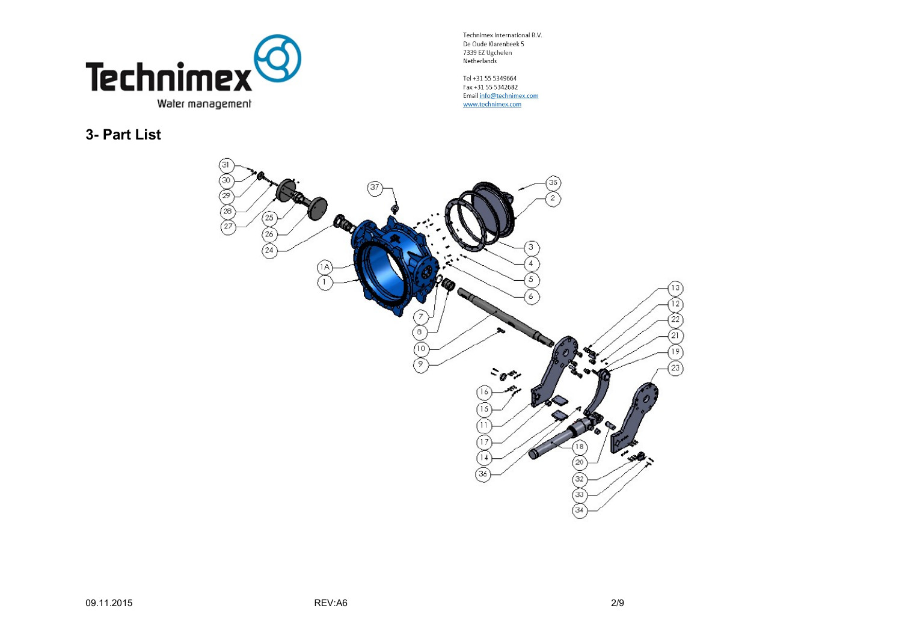

Tel +31 55 5349664 Fax +31 55 5342682 Email info@technimex.com www.technimex.com

3- Part List

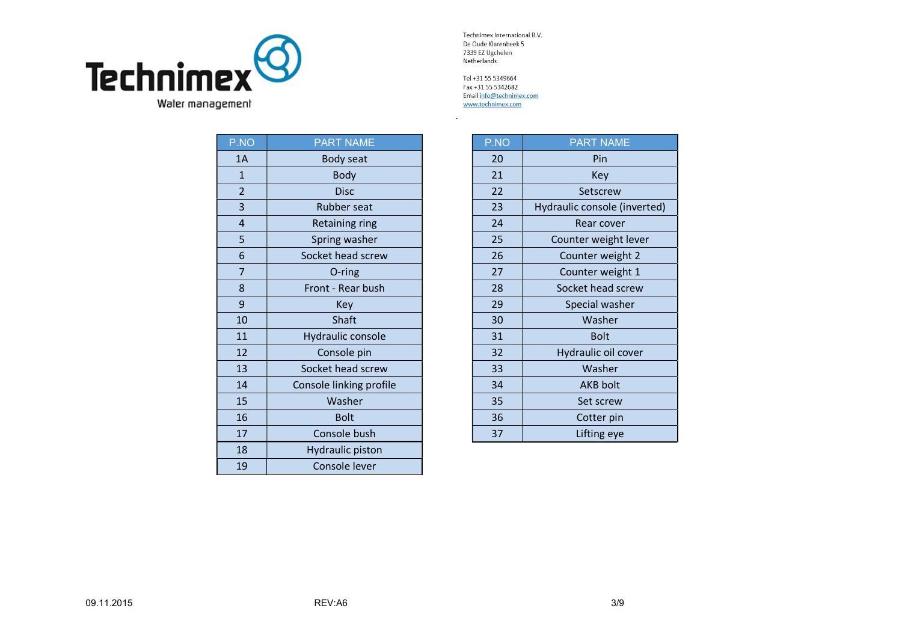

| P.NO           | <b>PART NAME</b>        | P.NO | <b>PART NAME</b>         |
|----------------|-------------------------|------|--------------------------|
| 1A             | Body seat               | 20   | Pin                      |
| $\mathbf{1}$   | <b>Body</b>             | 21   | <b>Key</b>               |
| $\overline{2}$ | <b>Disc</b>             | 22   | Setscrew                 |
| 3              | Rubber seat             | 23   | Hydraulic console (inver |
| 4              | Retaining ring          | 24   | Rear cover               |
| 5              | Spring washer           | 25   | Counter weight lever     |
| 6              | Socket head screw       | 26   | Counter weight 2         |
| $\overline{7}$ | O-ring                  | 27   | Counter weight 1         |
| 8              | Front - Rear bush       | 28   | Socket head screw        |
| 9              | Key                     | 29   | Special washer           |
| 10             | Shaft                   | 30   | Washer                   |
| 11             | Hydraulic console       | 31   | <b>Bolt</b>              |
| 12             | Console pin             | 32   | Hydraulic oil cover      |
| 13             | Socket head screw       | 33   | Washer                   |
| 14             | Console linking profile | 34   | <b>AKB</b> bolt          |
| 15             | Washer                  | 35   | Set screw                |
| 16             | <b>Bolt</b>             | 36   | Cotter pin               |
| 17             | Console bush            | 37   | Lifting eye              |
| 18             | <b>Hydraulic piston</b> |      |                          |
| 19             | Console lever           |      |                          |

Tel +31 55 5349664 Fax +31 55 5342682 Email info@technimex.com www.technimex.com

.

| <b>NO</b>                 | <b>PART NAME</b>        | P.NO | <b>PART NAME</b>             |
|---------------------------|-------------------------|------|------------------------------|
| LA                        | Body seat               | 20   | Pin                          |
| $\mathbf{1}$              | Body                    | 21   | Key                          |
| $\overline{2}$            | <b>Disc</b>             | 22   | Setscrew                     |
| $\overline{\overline{3}}$ | Rubber seat             | 23   | Hydraulic console (inverted) |
| 4                         | <b>Retaining ring</b>   | 24   | Rear cover                   |
| $\frac{1}{6}$             | Spring washer           | 25   | Counter weight lever         |
|                           | Socket head screw       | 26   | Counter weight 2             |
| $\overline{7}$            | O-ring                  | 27   | Counter weight 1             |
| $\frac{8}{9}$             | Front - Rear bush       | 28   | Socket head screw            |
|                           | Key                     | 29   | Special washer               |
| LO                        | Shaft                   | 30   | Washer                       |
| $\overline{11}$           | Hydraulic console       | 31   | <b>Bolt</b>                  |
| $\overline{2}$            | Console pin             | 32   | Hydraulic oil cover          |
| $\overline{13}$           | Socket head screw       | 33   | Washer                       |
| $\overline{a}$            | Console linking profile | 34   | <b>AKB bolt</b>              |
| L5                        | Washer                  | 35   | Set screw                    |
| L6                        | <b>Bolt</b>             | 36   | Cotter pin                   |
| L7                        | Console bush            | 37   | Lifting eye                  |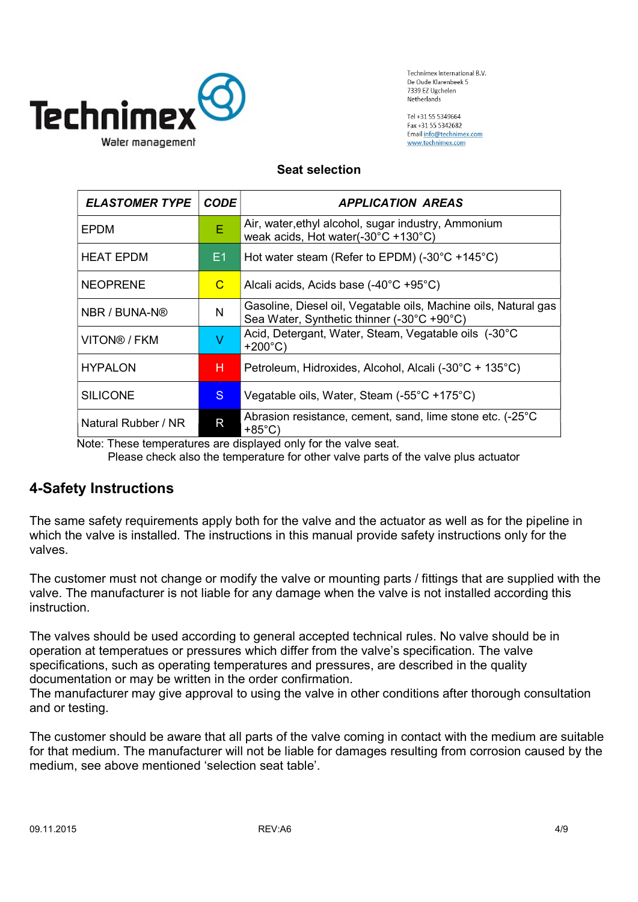

Tol +31 55 53/0664 Eax +31 55 5342682 Email info@technimex.com www.technimex.com

#### Seat selection

| <b>ELASTOMER TYPE</b> | <b>CODE</b>  | <b>APPLICATION AREAS</b>                                                                                      |
|-----------------------|--------------|---------------------------------------------------------------------------------------------------------------|
| EPDM                  | E            | Air, water, ethyl alcohol, sugar industry, Ammonium<br>weak acids, Hot water(-30°C +130°C)                    |
| <b>HEAT EPDM</b>      | E1           | Hot water steam (Refer to EPDM) (-30°C +145°C)                                                                |
| <b>NEOPRENE</b>       | C            | Alcali acids, Acids base (-40°C +95°C)                                                                        |
| NBR / BUNA-N®         | N            | Gasoline, Diesel oil, Vegatable oils, Machine oils, Natural gas<br>Sea Water, Synthetic thinner (-30°C +90°C) |
| VITON® / FKM          | V            | Acid, Detergant, Water, Steam, Vegatable oils (-30°C<br>$+200^{\circ}C$                                       |
| <b>HYPALON</b>        | н            | Petroleum, Hidroxides, Alcohol, Alcali (-30°C + 135°C)                                                        |
| <b>SILICONE</b>       | S.           | Vegatable oils, Water, Steam (-55°C +175°C)                                                                   |
| Natural Rubber / NR   | $\mathsf{R}$ | Abrasion resistance, cement, sand, lime stone etc. (-25°C<br>$+85^{\circ}$ C)                                 |

Note: These temperatures are displayed only for the valve seat.

Please check also the temperature for other valve parts of the valve plus actuator

#### 4-Safety Instructions

The same safety requirements apply both for the valve and the actuator as well as for the pipeline in which the valve is installed. The instructions in this manual provide safety instructions only for the valves.

The customer must not change or modify the valve or mounting parts / fittings that are supplied with the valve. The manufacturer is not liable for any damage when the valve is not installed according this instruction.

The valves should be used according to general accepted technical rules. No valve should be in operation at temperatues or pressures which differ from the valve's specification. The valve specifications, such as operating temperatures and pressures, are described in the quality documentation or may be written in the order confirmation.

The manufacturer may give approval to using the valve in other conditions after thorough consultation and or testing.

The customer should be aware that all parts of the valve coming in contact with the medium are suitable for that medium. The manufacturer will not be liable for damages resulting from corrosion caused by the medium, see above mentioned 'selection seat table'.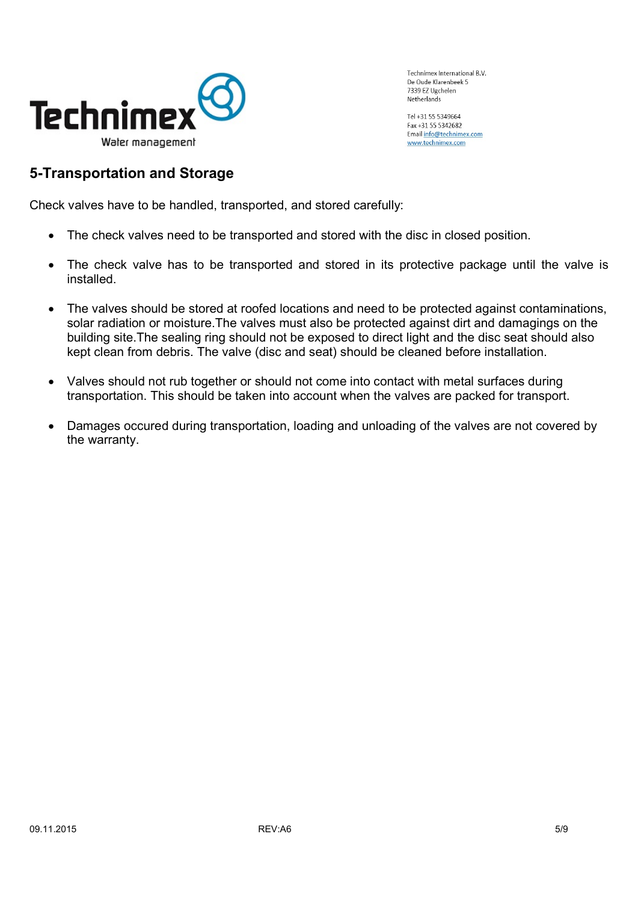

Tel +31 55 5349664 Fax +31 55 5342682 Email info@technimex.com www.technimex.com

#### 5-Transportation and Storage

Check valves have to be handled, transported, and stored carefully:

- The check valves need to be transported and stored with the disc in closed position.
- The check valve has to be transported and stored in its protective package until the valve is installed.
- The valves should be stored at roofed locations and need to be protected against contaminations, solar radiation or moisture.The valves must also be protected against dirt and damagings on the building site.The sealing ring should not be exposed to direct light and the disc seat should also kept clean from debris. The valve (disc and seat) should be cleaned before installation.
- Valves should not rub together or should not come into contact with metal surfaces during transportation. This should be taken into account when the valves are packed for transport.
- Damages occured during transportation, loading and unloading of the valves are not covered by the warranty.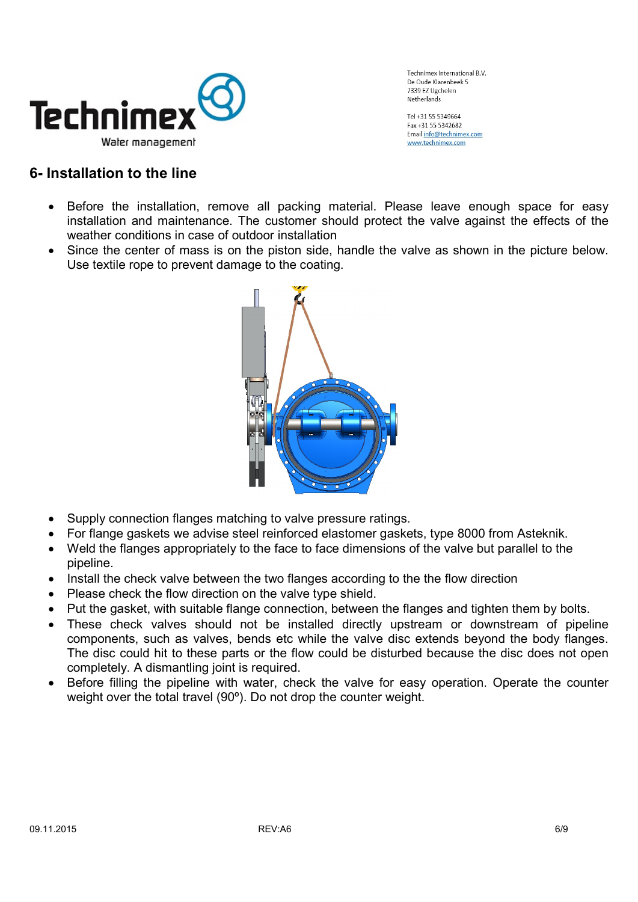

Tol +31 55 53/0664 Eax +31 55 5342682 Email info@technimex.com www.technimex.com

### 6- Installation to the line

- Before the installation, remove all packing material. Please leave enough space for easy installation and maintenance. The customer should protect the valve against the effects of the weather conditions in case of outdoor installation
- Since the center of mass is on the piston side, handle the valve as shown in the picture below. Use textile rope to prevent damage to the coating.



- Supply connection flanges matching to valve pressure ratings.
- For flange gaskets we advise steel reinforced elastomer gaskets, type 8000 from Asteknik.
- Weld the flanges appropriately to the face to face dimensions of the valve but parallel to the pipeline.
- Install the check valve between the two flanges according to the the flow direction
- Please check the flow direction on the valve type shield.
- Put the gasket, with suitable flange connection, between the flanges and tighten them by bolts.
- These check valves should not be installed directly upstream or downstream of pipeline components, such as valves, bends etc while the valve disc extends beyond the body flanges. The disc could hit to these parts or the flow could be disturbed because the disc does not open completely. A dismantling joint is required.
- Before filling the pipeline with water, check the valve for easy operation. Operate the counter weight over the total travel (90º). Do not drop the counter weight.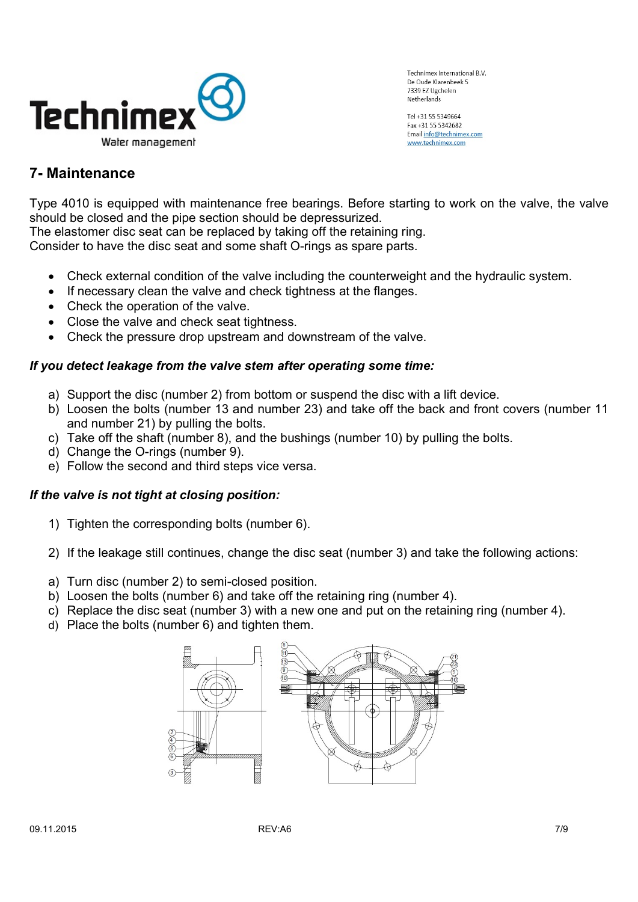

Tel +31 55 5349664 Fax +31 55 5342682 Email info@technimex.com www.technimex.com

# 7- Maintenance

Type 4010 is equipped with maintenance free bearings. Before starting to work on the valve, the valve should be closed and the pipe section should be depressurized.

The elastomer disc seat can be replaced by taking off the retaining ring.

Consider to have the disc seat and some shaft O-rings as spare parts.

- Check external condition of the valve including the counterweight and the hydraulic system.
- If necessary clean the valve and check tightness at the flanges.
- Check the operation of the valve.
- Close the valve and check seat tightness.
- Check the pressure drop upstream and downstream of the valve.

#### If you detect leakage from the valve stem after operating some time:

- a) Support the disc (number 2) from bottom or suspend the disc with a lift device.
- b) Loosen the bolts (number 13 and number 23) and take off the back and front covers (number 11 and number 21) by pulling the bolts.
- c) Take off the shaft (number 8), and the bushings (number 10) by pulling the bolts.
- d) Change the O-rings (number 9).
- e) Follow the second and third steps vice versa.

#### If the valve is not tight at closing position:

- 1) Tighten the corresponding bolts (number 6).
- 2) If the leakage still continues, change the disc seat (number 3) and take the following actions:
- a) Turn disc (number 2) to semi-closed position.
- b) Loosen the bolts (number 6) and take off the retaining ring (number 4).
- c) Replace the disc seat (number 3) with a new one and put on the retaining ring (number 4).
- d) Place the bolts (number 6) and tighten them.

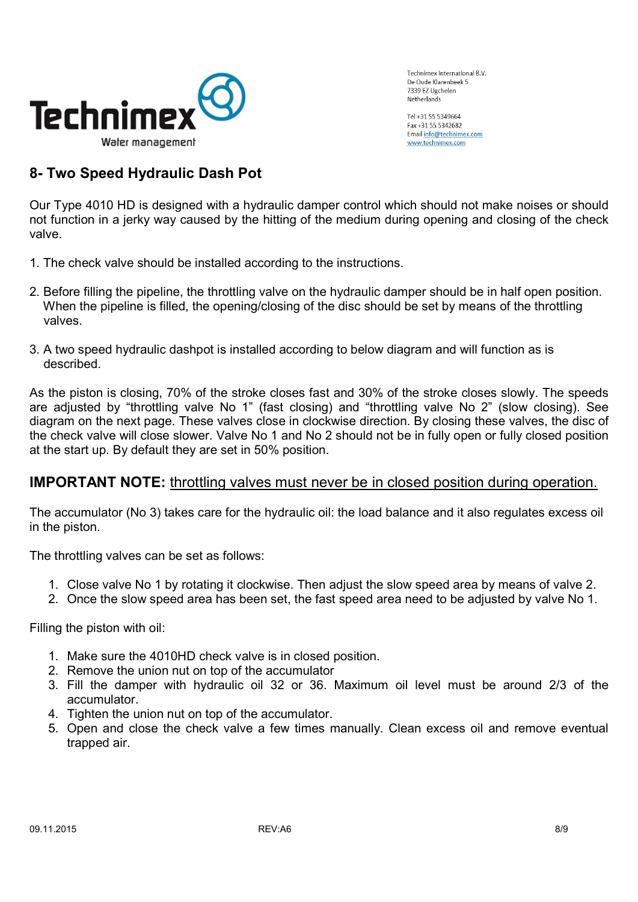

Tol +31 55 53/0664 Eax +31 55 5342682 Email info@technimex.com www.technimex.com

# 8- Two Speed Hydraulic Dash Pot

Our Type 4010 HD is designed with a hydraulic damper control which should not make noises or should not function in a jerky way caused by the hitting of the medium during opening and closing of the check valve.

- 1. The check valve should be installed according to the instructions.
- 2. Before filling the pipeline, the throttling valve on the hydraulic damper should be in half open position. When the pipeline is filled, the opening/closing of the disc should be set by means of the throttling valves.
- 3. A two speed hydraulic dashpot is installed according to below diagram and will function as is described.

As the piston is closing, 70% of the stroke closes fast and 30% of the stroke closes slowly. The speeds are adjusted by "throttling valve No 1" (fast closing) and "throttling valve No 2" (slow closing). See diagram on the next page. These valves close in clockwise direction. By closing these valves, the disc of the check valve will close slower. Valve No 1 and No 2 should not be in fully open or fully closed position at the start up. By default they are set in 50% position.

#### **IMPORTANT NOTE:** throttling valves must never be in closed position during operation.

The accumulator (No 3) takes care for the hydraulic oil: the load balance and it also regulates excess oil in the piston.

The throttling valves can be set as follows:

- 1. Close valve No 1 by rotating it clockwise. Then adjust the slow speed area by means of valve 2.
- 2. Once the slow speed area has been set, the fast speed area need to be adjusted by valve No 1.

Filling the piston with oil:

- 1. Make sure the 4010HD check valve is in closed position.
- 2. Remove the union nut on top of the accumulator
- 3. Fill the damper with hydraulic oil 32 or 36. Maximum oil level must be around 2/3 of the accumulator.
- 4. Tighten the union nut on top of the accumulator.
- 5. Open and close the check valve a few times manually. Clean excess oil and remove eventual trapped air.